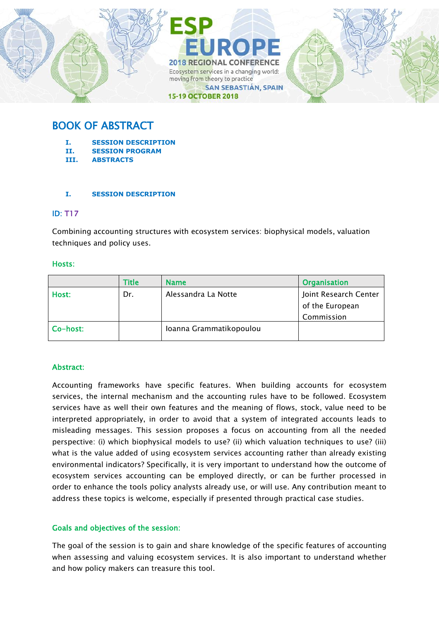

# BOOK OF ABSTRACT

- **I. SESSION DESCRIPTION**
- **II. SESSION PROGRAM**
- **III. ABSTRACTS**

### **I. SESSION DESCRIPTION**

### ID: T17

Combining accounting structures with ecosystem services: biophysical models, valuation techniques and policy uses.

### Hosts:

|          | Title | <b>Name</b>             | <b>Organisation</b>   |
|----------|-------|-------------------------|-----------------------|
| Host:    | Dr.   | Alessandra La Notte     | Joint Research Center |
|          |       |                         | of the European       |
|          |       |                         | Commission            |
| Co-host: |       | Ioanna Grammatikopoulou |                       |

### Abstract:

Accounting frameworks have specific features. When building accounts for ecosystem services, the internal mechanism and the accounting rules have to be followed. Ecosystem services have as well their own features and the meaning of flows, stock, value need to be interpreted appropriately, in order to avoid that a system of integrated accounts leads to misleading messages. This session proposes a focus on accounting from all the needed perspective: (i) which biophysical models to use? (ii) which valuation techniques to use? (iii) what is the value added of using ecosystem services accounting rather than already existing environmental indicators? Specifically, it is very important to understand how the outcome of ecosystem services accounting can be employed directly, or can be further processed in order to enhance the tools policy analysts already use, or will use. Any contribution meant to address these topics is welcome, especially if presented through practical case studies.

### Goals and objectives of the session:

The goal of the session is to gain and share knowledge of the specific features of accounting when assessing and valuing ecosystem services. It is also important to understand whether and how policy makers can treasure this tool.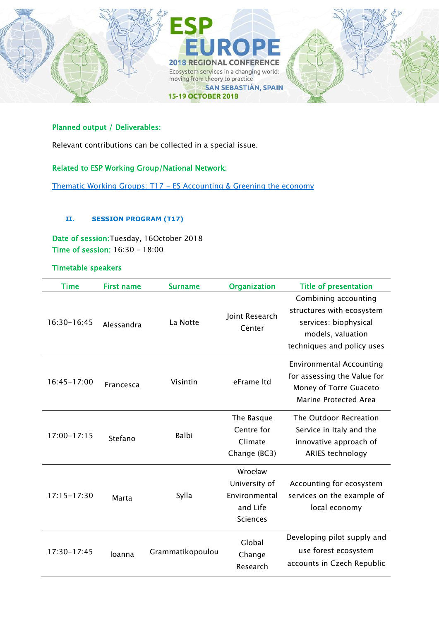

### Planned output / Deliverables:

Relevant contributions can be collected in a special issue.

### Related to ESP Working Group/National Network:

Thematic Working Groups: T17 - [ES Accounting & Greening the economy](https://www.es-partnership.org/community/workings-groups/thematic-working-groups/twg-17-es-accounting-greening-the-economy/)

#### **II. SESSION PROGRAM (T17)**

Date of session:Tuesday, 16October 2018 Time of session: 16:30 – 18:00

#### Timetable speakers

| <b>Time</b>     | <b>First name</b> | <b>Surname</b>   | <b>Organization</b>                                                      | <b>Title of presentation</b>                                                                                                  |
|-----------------|-------------------|------------------|--------------------------------------------------------------------------|-------------------------------------------------------------------------------------------------------------------------------|
| 16:30-16:45     | Alessandra        | La Notte         | Joint Research<br>Center                                                 | Combining accounting<br>structures with ecosystem<br>services: biophysical<br>models, valuation<br>techniques and policy uses |
| $16:45 - 17:00$ | Francesca         | Visintin         | eFrame Itd                                                               | <b>Environmental Accounting</b><br>for assessing the Value for<br>Money of Torre Guaceto<br>Marine Protected Area             |
| $17:00 - 17:15$ | Stefano           | Balbi            | The Basque<br>Centre for<br>Climate<br>Change (BC3)                      | The Outdoor Recreation<br>Service in Italy and the<br>innovative approach of<br>ARIES technology                              |
| $17:15 - 17:30$ | Marta             | Sylla            | Wrocław<br>University of<br>Environmental<br>and Life<br><b>Sciences</b> | Accounting for ecosystem<br>services on the example of<br>local economy                                                       |
| 17:30-17:45     | Ioanna            | Grammatikopoulou | Global<br>Change<br>Research                                             | Developing pilot supply and<br>use forest ecosystem<br>accounts in Czech Republic                                             |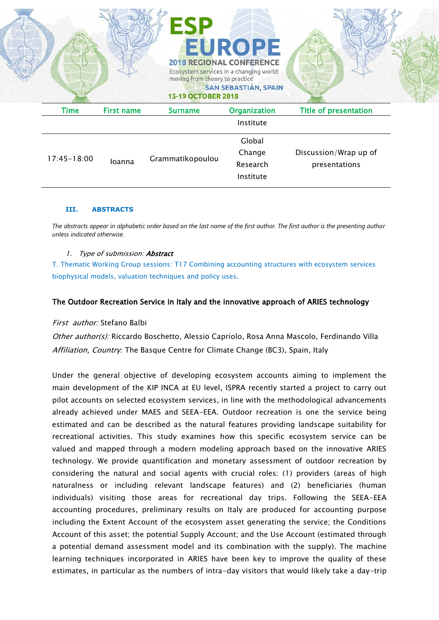

#### **III. ABSTRACTS**

*The abstracts appear in alphabetic order based on the last name of the first author. The first author is the presenting author unless indicated otherwise.*

#### 1. Type of submission: Abstract

T. Thematic Working Group sessions: T17 Combining accounting structures with ecosystem services biophysical models, valuation techniques and policy uses.

#### The Outdoor Recreation Service in Italy and the innovative approach of ARIES technology

#### First author: Stefano Balbi

Other author(s): Riccardo Boschetto, Alessio Capriolo, Rosa Anna Mascolo, Ferdinando Villa Affiliation, Country. The Basque Centre for Climate Change (BC3), Spain, Italy

Under the general objective of developing ecosystem accounts aiming to implement the main development of the KIP INCA at EU level, ISPRA recently started a project to carry out pilot accounts on selected ecosystem services, in line with the methodological advancements already achieved under MAES and SEEA-EEA. Outdoor recreation is one the service being estimated and can be described as the natural features providing landscape suitability for recreational activities. This study examines how this specific ecosystem service can be valued and mapped through a modern modeling approach based on the innovative ARIES technology. We provide quantification and monetary assessment of outdoor recreation by considering the natural and social agents with crucial roles: (1) providers (areas of high naturalness or including relevant landscape features) and (2) beneficiaries (human individuals) visiting those areas for recreational day trips. Following the SEEA-EEA accounting procedures, preliminary results on Italy are produced for accounting purpose including the Extent Account of the ecosystem asset generating the service; the Conditions Account of this asset; the potential Supply Account; and the Use Account (estimated through a potential demand assessment model and its combination with the supply). The machine learning techniques incorporated in ARIES have been key to improve the quality of these estimates, in particular as the numbers of intra-day visitors that would likely take a day-trip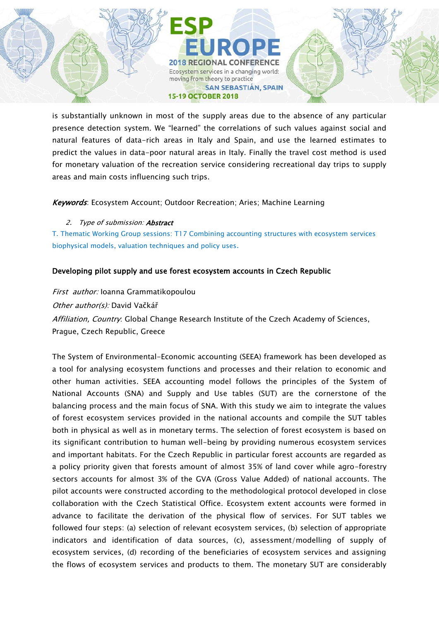**2018 REGIONAL CONFERENCE** Ecosystem services in a changing world: moving from theory to practice **SAN SEBASTIÁN, SPAIN 15-19 OCTOBER 2018** 

is substantially unknown in most of the supply areas due to the absence of any particular presence detection system. We "learned" the correlations of such values against social and natural features of data-rich areas in Italy and Spain, and use the learned estimates to predict the values in data-poor natural areas in Italy. Finally the travel cost method is used for monetary valuation of the recreation service considering recreational day trips to supply areas and main costs influencing such trips.

Keywords: Ecosystem Account; Outdoor Recreation; Aries; Machine Learning

2. Type of submission: **Abstract** 

T. Thematic Working Group sessions: T17 Combining accounting structures with ecosystem services biophysical models, valuation techniques and policy uses.

## Developing pilot supply and use forest ecosystem accounts in Czech Republic

First author: Ioanna Grammatikopoulou Other author(s): David Vačkář Affiliation, Country: Global Change Research Institute of the Czech Academy of Sciences, Prague, Czech Republic, Greece

The System of Environmental-Economic accounting (SEEA) framework has been developed as a tool for analysing ecosystem functions and processes and their relation to economic and other human activities. SEEA accounting model follows the principles of the System of National Accounts (SNA) and Supply and Use tables (SUT) are the cornerstone of the balancing process and the main focus of SNA. With this study we aim to integrate the values of forest ecosystem services provided in the national accounts and compile the SUT tables both in physical as well as in monetary terms. The selection of forest ecosystem is based on its significant contribution to human well-being by providing numerous ecosystem services and important habitats. For the Czech Republic in particular forest accounts are regarded as a policy priority given that forests amount of almost 35% of land cover while agro-forestry sectors accounts for almost 3% of the GVA (Gross Value Added) of national accounts. The pilot accounts were constructed according to the methodological protocol developed in close collaboration with the Czech Statistical Office. Ecosystem extent accounts were formed in advance to facilitate the derivation of the physical flow of services. For SUT tables we followed four steps: (a) selection of relevant ecosystem services, (b) selection of appropriate indicators and identification of data sources, (c), assessment/modelling of supply of ecosystem services, (d) recording of the beneficiaries of ecosystem services and assigning the flows of ecosystem services and products to them. The monetary SUT are considerably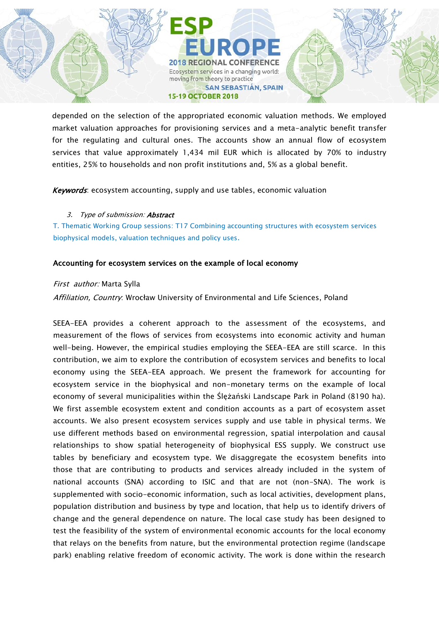**2018 REGIONAL CONFERENCE** Ecosystem services in a changing world: moving from theory to practice **SAN SEBASTIÁN, SPAIN 15-19 OCTOBER 2018** 

depended on the selection of the appropriated economic valuation methods. We employed market valuation approaches for provisioning services and a meta-analytic benefit transfer for the regulating and cultural ones. The accounts show an annual flow of ecosystem services that value approximately 1,434 mil EUR which is allocated by 70% to industry entities, 25% to households and non profit institutions and, 5% as a global benefit.

Keywords: ecosystem accounting, supply and use tables, economic valuation

### 3. Type of submission: **Abstract**

T. Thematic Working Group sessions: T17 Combining accounting structures with ecosystem services biophysical models, valuation techniques and policy uses.

### Accounting for ecosystem services on the example of local economy

### First author: Marta Sylla

Affiliation, Country: Wrocław University of Environmental and Life Sciences, Poland

SEEA-EEA provides a coherent approach to the assessment of the ecosystems, and measurement of the flows of services from ecosystems into economic activity and human well-being. However, the empirical studies employing the SEEA-EEA are still scarce. In this contribution, we aim to explore the contribution of ecosystem services and benefits to local economy using the SEEA-EEA approach. We present the framework for accounting for ecosystem service in the biophysical and non-monetary terms on the example of local economy of several municipalities within the Ślężański Landscape Park in Poland (8190 ha). We first assemble ecosystem extent and condition accounts as a part of ecosystem asset accounts. We also present ecosystem services supply and use table in physical terms. We use different methods based on environmental regression, spatial interpolation and causal relationships to show spatial heterogeneity of biophysical ESS supply. We construct use tables by beneficiary and ecosystem type. We disaggregate the ecosystem benefits into those that are contributing to products and services already included in the system of national accounts (SNA) according to ISIC and that are not (non-SNA). The work is supplemented with socio-economic information, such as local activities, development plans, population distribution and business by type and location, that help us to identify drivers of change and the general dependence on nature. The local case study has been designed to test the feasibility of the system of environmental economic accounts for the local economy that relays on the benefits from nature, but the environmental protection regime (landscape park) enabling relative freedom of economic activity. The work is done within the research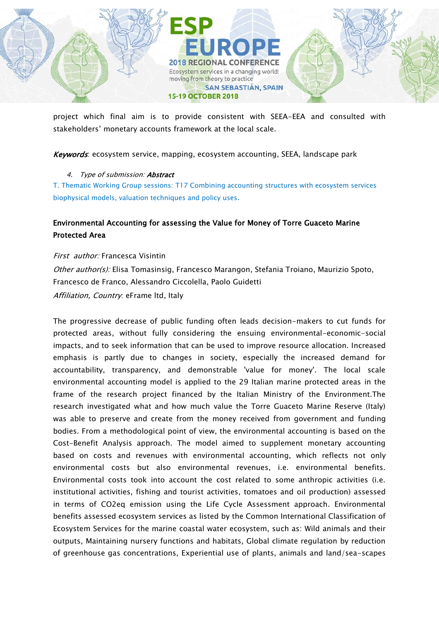

project which final aim is to provide consistent with SEEA-EEA and consulted with stakeholders' monetary accounts framework at the local scale.

Keywords: ecosystem service, mapping, ecosystem accounting, SEEA, landscape park

### 4. Type of submission: **Abstract**

T. Thematic Working Group sessions: T17 Combining accounting structures with ecosystem services biophysical models, valuation techniques and policy uses.

# Environmental Accounting for assessing the Value for Money of Torre Guaceto Marine Protected Area

First author: Francesca Visintin Other author(s): Elisa Tomasinsig, Francesco Marangon, Stefania Troiano, Maurizio Spoto, Francesco de Franco, Alessandro Ciccolella, Paolo Guidetti Affiliation, Country. eFrame ltd, Italy

The progressive decrease of public funding often leads decision-makers to cut funds for protected areas, without fully considering the ensuing environmental-economic-social impacts, and to seek information that can be used to improve resource allocation. Increased emphasis is partly due to changes in society, especially the increased demand for accountability, transparency, and demonstrable 'value for money'. The local scale environmental accounting model is applied to the 29 Italian marine protected areas in the frame of the research project financed by the Italian Ministry of the Environment.The research investigated what and how much value the Torre Guaceto Marine Reserve (Italy) was able to preserve and create from the money received from government and funding bodies. From a methodological point of view, the environmental accounting is based on the Cost-Benefit Analysis approach. The model aimed to supplement monetary accounting based on costs and revenues with environmental accounting, which reflects not only environmental costs but also environmental revenues, i.e. environmental benefits. Environmental costs took into account the cost related to some anthropic activities (i.e. institutional activities, fishing and tourist activities, tomatoes and oil production) assessed in terms of CO2eq emission using the Life Cycle Assessment approach. Environmental benefits assessed ecosystem services as listed by the Common International Classification of Ecosystem Services for the marine coastal water ecosystem, such as: Wild animals and their outputs, Maintaining nursery functions and habitats, Global climate regulation by reduction of greenhouse gas concentrations, Experiential use of plants, animals and land/sea-scapes